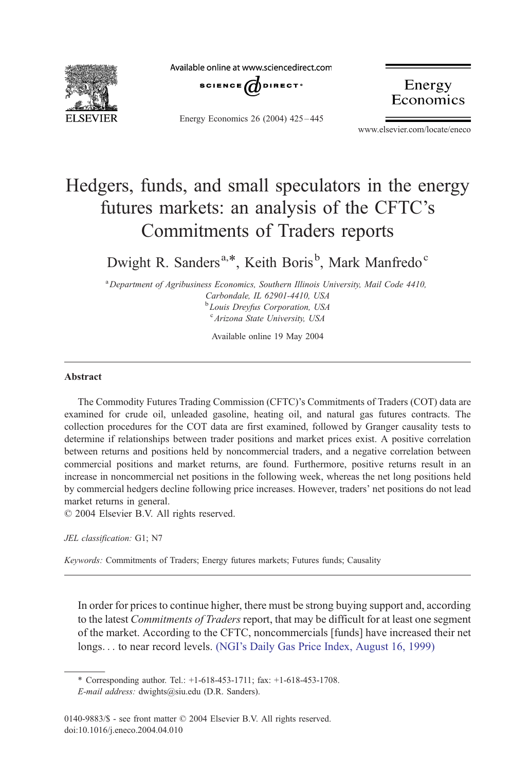

Available online at www.sciencedirect.com



Energy Economics 26 (2004) 425 – 445

Energy Economics

www.elsevier.com/locate/eneco

## Hedgers, funds, and small speculators in the energy futures markets: an analysis of the CFTC's Commitments of Traders reports

Dwight R. Sanders<sup>a,\*</sup>, Keith Boris<sup>b</sup>, Mark Manfredo<sup>c</sup>

<sup>a</sup> Department of Agribusiness Economics, Southern Illinois University, Mail Code 4410, Carbondale, IL 62901-4410, USA <sup>b</sup>Louis Dreyfus Corporation, USA <sup>c</sup> Arizona State University, USA

Available online 19 May 2004

## Abstract

The Commodity Futures Trading Commission (CFTC)'s Commitments of Traders (COT) data are examined for crude oil, unleaded gasoline, heating oil, and natural gas futures contracts. The collection procedures for the COT data are first examined, followed by Granger causality tests to determine if relationships between trader positions and market prices exist. A positive correlation between returns and positions held by noncommercial traders, and a negative correlation between commercial positions and market returns, are found. Furthermore, positive returns result in an increase in noncommercial net positions in the following week, whereas the net long positions held by commercial hedgers decline following price increases. However, traders' net positions do not lead market returns in general.

 $\odot$  2004 Elsevier B.V. All rights reserved.

JEL classification: G1; N7

Keywords: Commitments of Traders; Energy futures markets; Futures funds; Causality

In order for prices to continue higher, there must be strong buying support and, according to the latest *Commitments of Traders* report, that may be difficult for at least one segment of the market. According to the CFTC, noncommercials [funds] have increased their net longs... to near record levels. [\(NGI's Daily Gas Price Index, August 16, 1999\)](#page--1-0)

<sup>\*</sup> Corresponding author. Tel.: +1-618-453-1711; fax: +1-618-453-1708. E-mail address: dwights@siu.edu (D.R. Sanders).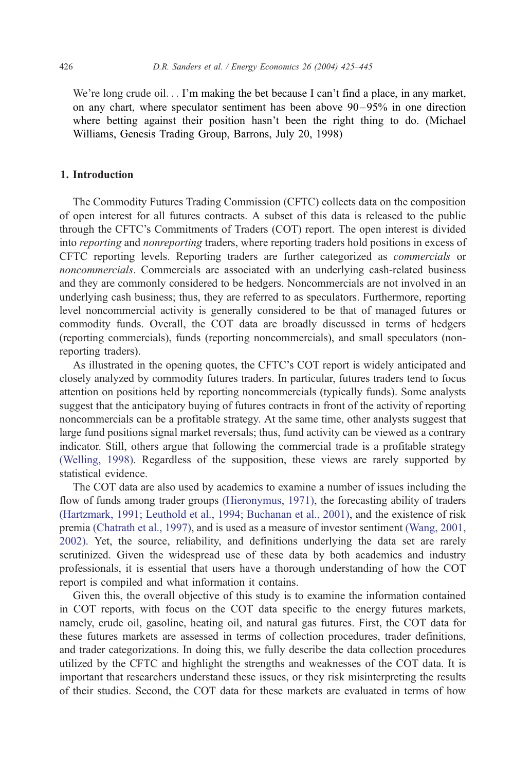We're long crude oil... I'm making the bet because I can't find a place, in any market, on any chart, where speculator sentiment has been above  $90 - 95\%$  in one direction where betting against their position hasn't been the right thing to do. (Michael Williams, Genesis Trading Group, Barrons, July 20, 1998)

## 1. Introduction

The Commodity Futures Trading Commission (CFTC) collects data on the composition of open interest for all futures contracts. A subset of this data is released to the public through the CFTC's Commitments of Traders (COT) report. The open interest is divided into reporting and nonreporting traders, where reporting traders hold positions in excess of CFTC reporting levels. Reporting traders are further categorized as commercials or noncommercials. Commercials are associated with an underlying cash-related business and they are commonly considered to be hedgers. Noncommercials are not involved in an underlying cash business; thus, they are referred to as speculators. Furthermore, reporting level noncommercial activity is generally considered to be that of managed futures or commodity funds. Overall, the COT data are broadly discussed in terms of hedgers (reporting commercials), funds (reporting noncommercials), and small speculators (nonreporting traders).

As illustrated in the opening quotes, the CFTC's COT report is widely anticipated and closely analyzed by commodity futures traders. In particular, futures traders tend to focus attention on positions held by reporting noncommercials (typically funds). Some analysts suggest that the anticipatory buying of futures contracts in front of the activity of reporting noncommercials can be a profitable strategy. At the same time, other analysts suggest that large fund positions signal market reversals; thus, fund activity can be viewed as a contrary indicator. Still, others argue that following the commercial trade is a profitable strategy [\(Welling, 1998\).](#page--1-0) Regardless of the supposition, these views are rarely supported by statistical evidence.

The COT data are also used by academics to examine a number of issues including the flow of funds among trader groups [\(Hieronymus, 1971\),](#page--1-0) the forecasting ability of traders [\(Hartzmark, 1991; Leuthold et al., 1994; Buchanan et al., 2001\),](#page--1-0) and the existence of risk premia [\(Chatrath et al., 1997\),](#page--1-0) and is used as a measure of investor sentiment [\(Wang, 2001,](#page--1-0) 2002). Yet, the source, reliability, and definitions underlying the data set are rarely scrutinized. Given the widespread use of these data by both academics and industry professionals, it is essential that users have a thorough understanding of how the COT report is compiled and what information it contains.

Given this, the overall objective of this study is to examine the information contained in COT reports, with focus on the COT data specific to the energy futures markets, namely, crude oil, gasoline, heating oil, and natural gas futures. First, the COT data for these futures markets are assessed in terms of collection procedures, trader definitions, and trader categorizations. In doing this, we fully describe the data collection procedures utilized by the CFTC and highlight the strengths and weaknesses of the COT data. It is important that researchers understand these issues, or they risk misinterpreting the results of their studies. Second, the COT data for these markets are evaluated in terms of how